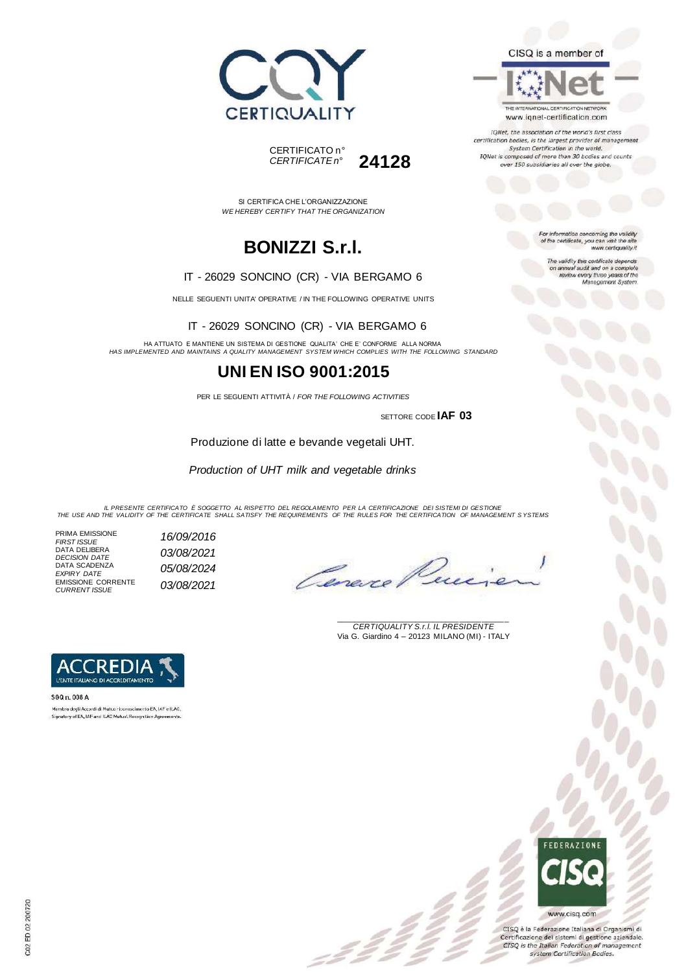



SI CERTIFICA CHE L'ORGANIZZAZIONE *WE HEREBY CERTIFY THAT THE ORGANIZATION*

### **BONIZZI S.r.l.**

#### IT - 26029 SONCINO (CR) - VIA BERGAMO 6

NELLE SEGUENTI UNITA' OPERATIVE / IN THE FOLLOWING OPERATIVE UNITS

IT - 26029 SONCINO (CR) - VIA BERGAMO 6

HA ATTUATO E MANTIENE UN SISTEMA DI GESTIONE QUALITA' CHE E' CONFORME ALLA NORMA *HAS IMPLEMENTED AND MAINTAINS A QUALITY MANAGEMENT SYSTEM WHICH COMPLIES WITH THE FOLLOWING STANDARD*

### **UNI EN ISO 9001:2015**

PER LE SEGUENTI ATTIVITÀ / *FOR THE FOLLOWING ACTIVITIES*

SETTORE CODE **IAF 03**

Produzione di latte e bevande vegetali UHT.

*Production of UHT milk and vegetable drinks*

IL PRESENTE CERTIFICATO E SOGGETTO AL RISPETTO DEL REGOLAMENTO PER LA CERTIFICAZIONE DEI SISTEMI DI GESTIONE<br>THE USE AND THE VALIDITY OF THE CERTIFICATE SHALL SATISFY THE REQUIREMENTS OF THE RULES FOR THE CERTIFICATION OF

z Ž

- PRIMA EMISSIONE<br>FIRST ISSUE DATA DELIBERA *DECISION DATE 03/08/2021* DATA SCADENZA *EXPIRY DATE 05/08/2024* EMISSIONE CORRENTE *CURRENT ISSUE 03/08/2021*
	- *FIRST ISSUE 16/09/2016*

Cenere

\_\_\_\_\_\_\_\_\_\_\_\_\_\_\_\_\_\_\_\_\_\_\_\_\_\_\_\_\_\_\_\_\_\_\_\_\_\_\_ *CERTIQUALITY S.r.l. IL PRESIDENTE* Via G. Giardino 4 – 20123 MILANO (MI) - ITALY



5GQ n. 008 A Membre degli Accordi di Mutua riconoscimento EA, IAF e ILAC. Signatory of EA, IAF and ILAC Mutual Recognition Agreem

## FEDERAZIONI www.cisq.com

CISQ è la Federazione Italiana di Organismi di Certificazione dei sistemi di gestione aziendale. CISQ is the Italian Federation of management<br>system Certification Bodies.

For information concerning the validity of the certificate, you can visit the sit www.certiquality.it

> The validity this certificate depends on annual audit and on a complete<br>review every three years of the<br>Menagement System.

CISQ is a member of

THE INTERNATIONAL CERTIFICATION NETWORK

www.iqnet-certification.com IQNet, the association of the world's first class certification bodies, is the largest provider of manage System Certification in the world.<br>IQNet is composed of more than 30 bodies and counts over 150 subsidiaries all over the globe.